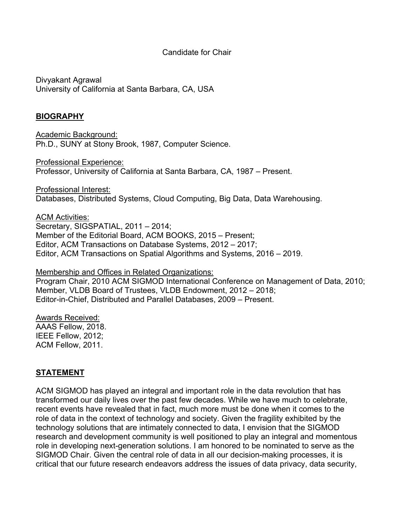### Candidate for Chair

Divyakant Agrawal University of California at Santa Barbara, CA, USA

### **BIOGRAPHY**

Academic Background: Ph.D., SUNY at Stony Brook, 1987, Computer Science.

Professional Experience: Professor, University of California at Santa Barbara, CA, 1987 – Present.

Professional Interest: Databases, Distributed Systems, Cloud Computing, Big Data, Data Warehousing.

ACM Activities: Secretary, SIGSPATIAL, 2011 – 2014; Member of the Editorial Board, ACM BOOKS, 2015 – Present; Editor, ACM Transactions on Database Systems, 2012 – 2017; Editor, ACM Transactions on Spatial Algorithms and Systems, 2016 – 2019.

Membership and Offices in Related Organizations:

Program Chair, 2010 ACM SIGMOD International Conference on Management of Data, 2010; Member, VLDB Board of Trustees, VLDB Endowment, 2012 – 2018; Editor-in-Chief, Distributed and Parallel Databases, 2009 – Present.

Awards Received: AAAS Fellow, 2018. IEEE Fellow, 2012; ACM Fellow, 2011.

#### **STATEMENT**

ACM SIGMOD has played an integral and important role in the data revolution that has transformed our daily lives over the past few decades. While we have much to celebrate, recent events have revealed that in fact, much more must be done when it comes to the role of data in the context of technology and society. Given the fragility exhibited by the technology solutions that are intimately connected to data, I envision that the SIGMOD research and development community is well positioned to play an integral and momentous role in developing next-generation solutions. I am honored to be nominated to serve as the SIGMOD Chair. Given the central role of data in all our decision-making processes, it is critical that our future research endeavors address the issues of data privacy, data security,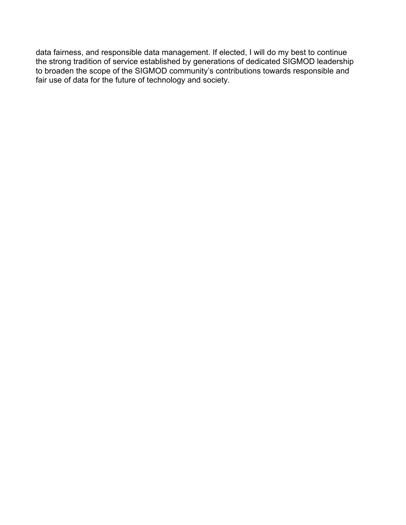data fairness, and responsible data management. If elected, I will do my best to continue the strong tradition of service established by generations of dedicated SIGMOD leadership to broaden the scope of the SIGMOD community's contributions towards responsible and fair use of data for the future of technology and society.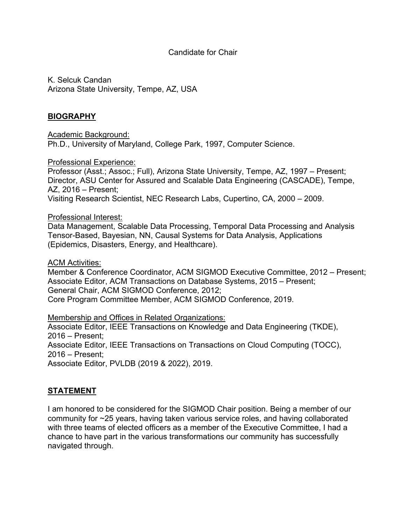### Candidate for Chair

K. Selcuk Candan Arizona State University, Tempe, AZ, USA

# **BIOGRAPHY**

Academic Background: Ph.D., University of Maryland, College Park, 1997, Computer Science.

#### Professional Experience:

Professor (Asst.; Assoc.; Full), Arizona State University, Tempe, AZ, 1997 – Present; Director, ASU Center for Assured and Scalable Data Engineering (CASCADE), Tempe, AZ, 2016 – Present; Visiting Research Scientist, NEC Research Labs, Cupertino, CA, 2000 – 2009.

#### Professional Interest:

Data Management, Scalable Data Processing, Temporal Data Processing and Analysis Tensor-Based, Bayesian, NN, Causal Systems for Data Analysis, Applications (Epidemics, Disasters, Energy, and Healthcare).

#### ACM Activities:

Member & Conference Coordinator, ACM SIGMOD Executive Committee, 2012 – Present; Associate Editor, ACM Transactions on Database Systems, 2015 – Present; General Chair, ACM SIGMOD Conference, 2012; Core Program Committee Member, ACM SIGMOD Conference, 2019.

Membership and Offices in Related Organizations:

Associate Editor, IEEE Transactions on Knowledge and Data Engineering (TKDE), 2016 – Present;

Associate Editor, IEEE Transactions on Transactions on Cloud Computing (TOCC), 2016 – Present;

Associate Editor, PVLDB (2019 & 2022), 2019.

# **STATEMENT**

I am honored to be considered for the SIGMOD Chair position. Being a member of our community for ~25 years, having taken various service roles, and having collaborated with three teams of elected officers as a member of the Executive Committee, I had a chance to have part in the various transformations our community has successfully navigated through.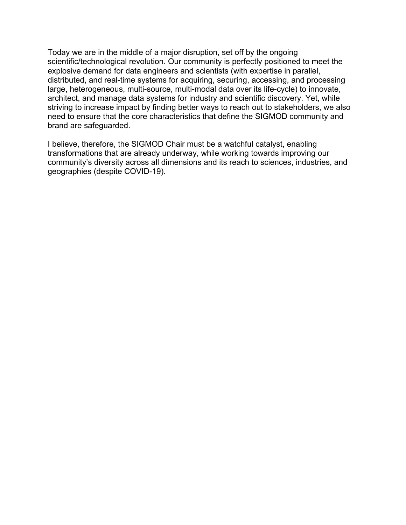Today we are in the middle of a major disruption, set off by the ongoing scientific/technological revolution. Our community is perfectly positioned to meet the explosive demand for data engineers and scientists (with expertise in parallel, distributed, and real-time systems for acquiring, securing, accessing, and processing large, heterogeneous, multi-source, multi-modal data over its life-cycle) to innovate, architect, and manage data systems for industry and scientific discovery. Yet, while striving to increase impact by finding better ways to reach out to stakeholders, we also need to ensure that the core characteristics that define the SIGMOD community and brand are safeguarded.

I believe, therefore, the SIGMOD Chair must be a watchful catalyst, enabling transformations that are already underway, while working towards improving our community's diversity across all dimensions and its reach to sciences, industries, and geographies (despite COVID-19).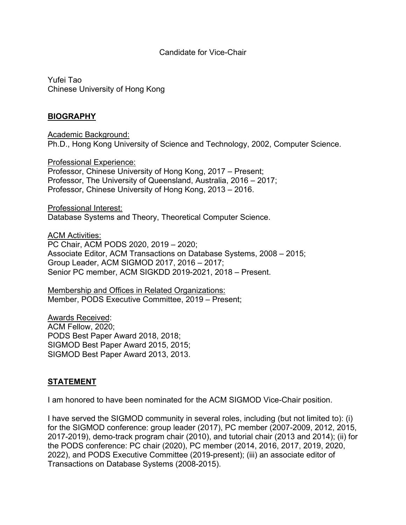#### Candidate for Vice-Chair

Yufei Tao Chinese University of Hong Kong

### **BIOGRAPHY**

Academic Background: Ph.D., Hong Kong University of Science and Technology, 2002, Computer Science.

Professional Experience: Professor, Chinese University of Hong Kong, 2017 – Present; Professor, The University of Queensland, Australia, 2016 – 2017; Professor, Chinese University of Hong Kong, 2013 – 2016.

Professional Interest: Database Systems and Theory, Theoretical Computer Science.

ACM Activities: PC Chair, ACM PODS 2020, 2019 – 2020; Associate Editor, ACM Transactions on Database Systems, 2008 – 2015; Group Leader, ACM SIGMOD 2017, 2016 – 2017; Senior PC member, ACM SIGKDD 2019-2021, 2018 – Present.

Membership and Offices in Related Organizations: Member, PODS Executive Committee, 2019 – Present;

Awards Received: ACM Fellow, 2020; PODS Best Paper Award 2018, 2018; SIGMOD Best Paper Award 2015, 2015; SIGMOD Best Paper Award 2013, 2013.

### **STATEMENT**

I am honored to have been nominated for the ACM SIGMOD Vice-Chair position.

I have served the SIGMOD community in several roles, including (but not limited to): (i) for the SIGMOD conference: group leader (2017), PC member (2007-2009, 2012, 2015, 2017-2019), demo-track program chair (2010), and tutorial chair (2013 and 2014); (ii) for the PODS conference: PC chair (2020), PC member (2014, 2016, 2017, 2019, 2020, 2022), and PODS Executive Committee (2019-present); (iii) an associate editor of Transactions on Database Systems (2008-2015).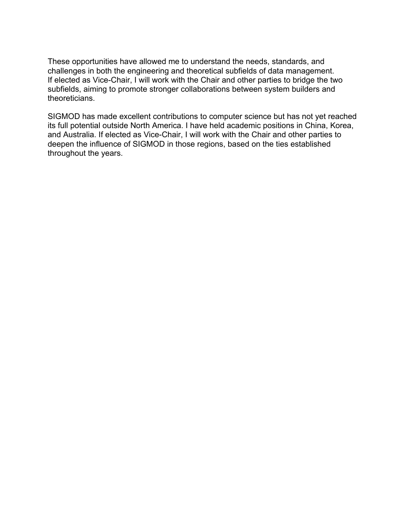These opportunities have allowed me to understand the needs, standards, and challenges in both the engineering and theoretical subfields of data management. If elected as Vice-Chair, I will work with the Chair and other parties to bridge the two subfields, aiming to promote stronger collaborations between system builders and theoreticians.

SIGMOD has made excellent contributions to computer science but has not yet reached its full potential outside North America. I have held academic positions in China, Korea, and Australia. If elected as Vice-Chair, I will work with the Chair and other parties to deepen the influence of SIGMOD in those regions, based on the ties established throughout the years.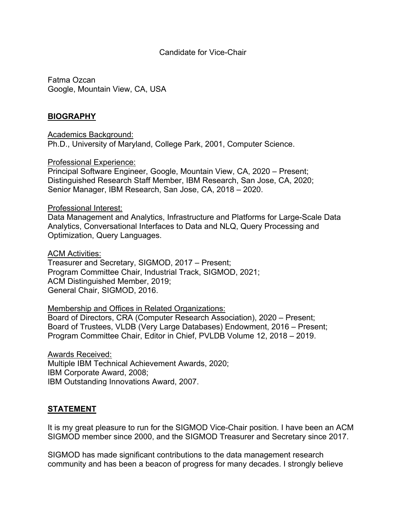#### Candidate for Vice-Chair

Fatma Ozcan Google, Mountain View, CA, USA

### **BIOGRAPHY**

Academics Background: Ph.D., University of Maryland, College Park, 2001, Computer Science.

#### Professional Experience:

Principal Software Engineer, Google, Mountain View, CA, 2020 – Present; Distinguished Research Staff Member, IBM Research, San Jose, CA, 2020; Senior Manager, IBM Research, San Jose, CA, 2018 – 2020.

#### Professional Interest:

Data Management and Analytics, Infrastructure and Platforms for Large-Scale Data Analytics, Conversational Interfaces to Data and NLQ, Query Processing and Optimization, Query Languages.

#### ACM Activities:

Treasurer and Secretary, SIGMOD, 2017 – Present; Program Committee Chair, Industrial Track, SIGMOD, 2021; ACM Distinguished Member, 2019; General Chair, SIGMOD, 2016.

Membership and Offices in Related Organizations:

Board of Directors, CRA (Computer Research Association), 2020 – Present; Board of Trustees, VLDB (Very Large Databases) Endowment, 2016 – Present; Program Committee Chair, Editor in Chief, PVLDB Volume 12, 2018 – 2019.

Awards Received: Multiple IBM Technical Achievement Awards, 2020; IBM Corporate Award, 2008; IBM Outstanding Innovations Award, 2007.

### **STATEMENT**

It is my great pleasure to run for the SIGMOD Vice-Chair position. I have been an ACM SIGMOD member since 2000, and the SIGMOD Treasurer and Secretary since 2017.

SIGMOD has made significant contributions to the data management research community and has been a beacon of progress for many decades. I strongly believe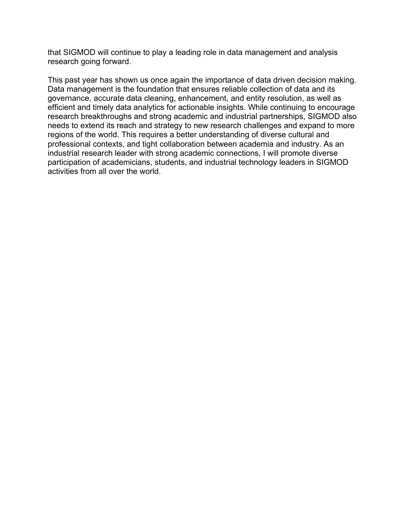that SIGMOD will continue to play a leading role in data management and analysis research going forward.

This past year has shown us once again the importance of data driven decision making. Data management is the foundation that ensures reliable collection of data and its governance, accurate data cleaning, enhancement, and entity resolution, as well as efficient and timely data analytics for actionable insights. While continuing to encourage research breakthroughs and strong academic and industrial partnerships, SIGMOD also needs to extend its reach and strategy to new research challenges and expand to more regions of the world. This requires a better understanding of diverse cultural and professional contexts, and tight collaboration between academia and industry. As an industrial research leader with strong academic connections, I will promote diverse participation of academicians, students, and industrial technology leaders in SIGMOD activities from all over the world.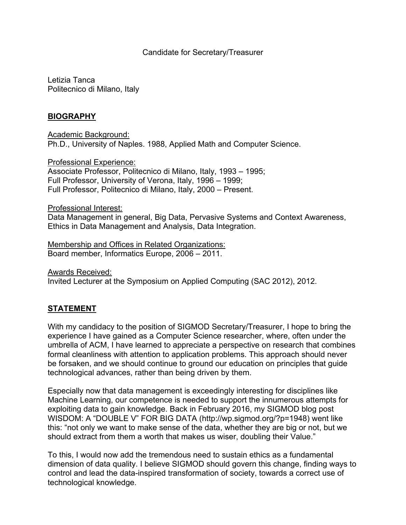### Candidate for Secretary/Treasurer

Letizia Tanca Politecnico di Milano, Italy

## **BIOGRAPHY**

Academic Background: Ph.D., University of Naples. 1988, Applied Math and Computer Science.

Professional Experience: Associate Professor, Politecnico di Milano, Italy, 1993 – 1995; Full Professor, University of Verona, Italy, 1996 – 1999; Full Professor, Politecnico di Milano, Italy, 2000 – Present.

#### Professional Interest:

Data Management in general, Big Data, Pervasive Systems and Context Awareness, Ethics in Data Management and Analysis, Data Integration.

Membership and Offices in Related Organizations: Board member, Informatics Europe, 2006 – 2011.

Awards Received: Invited Lecturer at the Symposium on Applied Computing (SAC 2012), 2012.

# **STATEMENT**

With my candidacy to the position of SIGMOD Secretary/Treasurer, I hope to bring the experience I have gained as a Computer Science researcher, where, often under the umbrella of ACM, I have learned to appreciate a perspective on research that combines formal cleanliness with attention to application problems. This approach should never be forsaken, and we should continue to ground our education on principles that guide technological advances, rather than being driven by them.

Especially now that data management is exceedingly interesting for disciplines like Machine Learning, our competence is needed to support the innumerous attempts for exploiting data to gain knowledge. Back in February 2016, my SIGMOD blog post WISDOM: A "DOUBLE V" FOR BIG DATA (http://wp.sigmod.org/?p=1948) went like this: "not only we want to make sense of the data, whether they are big or not, but we should extract from them a worth that makes us wiser, doubling their Value."

To this, I would now add the tremendous need to sustain ethics as a fundamental dimension of data quality. I believe SIGMOD should govern this change, finding ways to control and lead the data-inspired transformation of society, towards a correct use of technological knowledge.